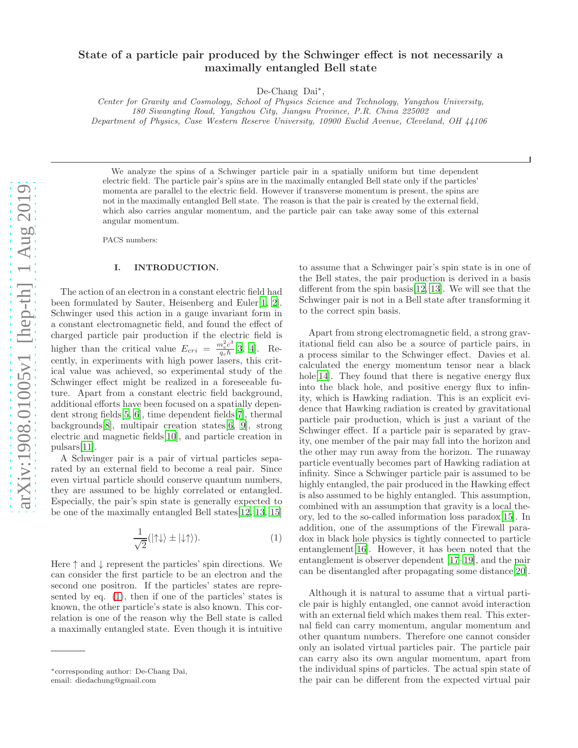# State of a particle pair produced by the Schwinger effect is not necessarily a maximally entangled Bell state

De-Chang Dai<sup>∗</sup> ,

Center for Gravity and Cosmology, School of Physics Science and Technology, Yangzhou University, 180 Siwangting Road, Yangzhou City, Jiangsu Province, P.R. China 225002 and Department of Physics, Case Western Reserve University, 10900 Euclid Avenue, Cleveland, OH 44106

We analyze the spins of a Schwinger particle pair in a spatially uniform but time dependent electric field. The particle pair's spins are in the maximally entangled Bell state only if the particles' momenta are parallel to the electric field. However if transverse momentum is present, the spins are not in the maximally entangled Bell state. The reason is that the pair is created by the external field, which also carries angular momentum, and the particle pair can take away some of this external angular momentum.

PACS numbers:

### I. INTRODUCTION.

The action of an electron in a constant electric field had been formulated by Sauter, Heisenberg and Euler[\[1,](#page-5-0) [2\]](#page-5-1). Schwinger used this action in a gauge invariant form in a constant electromagnetic field, and found the effect of charged particle pair production if the electric field is higher than the critical value  $E_{cri} = \frac{m_e^2 c^3}{a_c \hbar}$  $\frac{n_e c}{q_e \hbar}[3, 4]$  $\frac{n_e c}{q_e \hbar}[3, 4]$  $\frac{n_e c}{q_e \hbar}[3, 4]$  $\frac{n_e c}{q_e \hbar}[3, 4]$ . Recently, in experiments with high power lasers, this critical value was achieved, so experimental study of the Schwinger effect might be realized in a foreseeable future. Apart from a constant electric field background, additional efforts have been focused on a spatially dependent strong fields[\[5,](#page-5-4) [6](#page-5-5)], time dependent fields[\[7\]](#page-5-6), thermal backgrounds[\[8](#page-5-7)], multipair creation states[\[6,](#page-5-5) [9](#page-5-8)], strong electric and magnetic fields[\[10\]](#page-5-9), and particle creation in pulsars[\[11\]](#page-5-10).

A Schwinger pair is a pair of virtual particles separated by an external field to become a real pair. Since even virtual particle should conserve quantum numbers, they are assumed to be highly correlated or entangled. Especially, the pair's spin state is generally expected to be one of the maximally entangled Bell states[\[12,](#page-5-11) [13,](#page-5-12) [15](#page-5-13)]

<span id="page-0-0"></span>
$$
\frac{1}{\sqrt{2}}(|\uparrow\downarrow\rangle \pm |\downarrow\uparrow\rangle). \tag{1}
$$

Here  $\uparrow$  and  $\downarrow$  represent the particles' spin directions. We can consider the first particle to be an electron and the second one positron. If the particles' states are represented by eq. [\(1\)](#page-0-0), then if one of the particles' states is known, the other particle's state is also known. This correlation is one of the reason why the Bell state is called a maximally entangled state. Even though it is intuitive

email: diedachung@gmail.com

to assume that a Schwinger pair's spin state is in one of the Bell states, the pair production is derived in a basis different from the spin basis[\[12,](#page-5-11) [13](#page-5-12)]. We will see that the Schwinger pair is not in a Bell state after transforming it to the correct spin basis.

Apart from strong electromagnetic field, a strong gravitational field can also be a source of particle pairs, in a process similar to the Schwinger effect. Davies et al. calculated the energy momentum tensor near a black hole<sup>[\[14\]](#page-5-14)</sup>. They found that there is negative energy flux into the black hole, and positive energy flux to infinity, which is Hawking radiation. This is an explicit evidence that Hawking radiation is created by gravitational particle pair production, which is just a variant of the Schwinger effect. If a particle pair is separated by gravity, one member of the pair may fall into the horizon and the other may run away from the horizon. The runaway particle eventually becomes part of Hawking radiation at infinity. Since a Schwinger particle pair is assumed to be highly entangled, the pair produced in the Hawking effect is also assumed to be highly entangled. This assumption, combined with an assumption that gravity is a local theory, led to the so-called information loss paradox[\[15\]](#page-5-13). In addition, one of the assumptions of the Firewall paradox in black hole physics is tightly connected to particle entanglement[\[16\]](#page-5-15). However, it has been noted that the entanglement is observer dependent [\[17](#page-5-16)[–19](#page-5-17)], and the pair can be disentangled after propagating some distance[\[20\]](#page-5-18).

Although it is natural to assume that a virtual particle pair is highly entangled, one cannot avoid interaction with an external field which makes them real. This external field can carry momentum, angular momentum and other quantum numbers. Therefore one cannot consider only an isolated virtual particles pair. The particle pair can carry also its own angular momentum, apart from the individual spins of particles. The actual spin state of the pair can be different from the expected virtual pair

<sup>∗</sup> corresponding author: De-Chang Dai,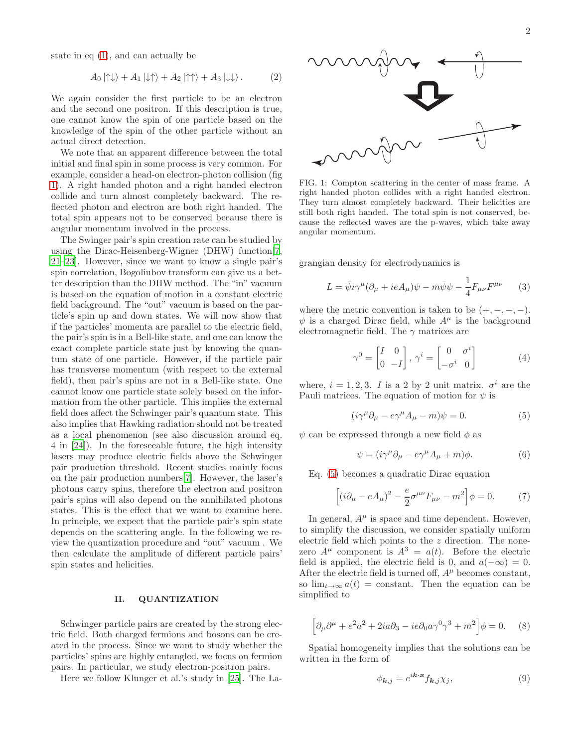state in eq  $(1)$ , and can actually be

<span id="page-1-3"></span>
$$
A_0 \left| \uparrow \downarrow \right\rangle + A_1 \left| \downarrow \uparrow \right\rangle + A_2 \left| \uparrow \uparrow \right\rangle + A_3 \left| \downarrow \downarrow \right\rangle. \tag{2}
$$

We again consider the first particle to be an electron and the second one positron. If this description is true, one cannot know the spin of one particle based on the knowledge of the spin of the other particle without an actual direct detection.

We note that an apparent difference between the total initial and final spin in some process is very common. For example, consider a head-on electron-photon collision (fig [1\)](#page-1-0). A right handed photon and a right handed electron collide and turn almost completely backward. The reflected photon and electron are both right handed. The total spin appears not to be conserved because there is angular momentum involved in the process.

The Swinger pair's spin creation rate can be studied by using the Dirac-Heisenberg-Wigner (DHW) function[\[7](#page-5-6), [21](#page-5-19)[–23\]](#page-5-20). However, since we want to know a single pair's spin correlation, Bogoliubov transform can give us a better description than the DHW method. The "in" vacuum is based on the equation of motion in a constant electric field background. The "out" vacuum is based on the particle's spin up and down states. We will now show that if the particles' momenta are parallel to the electric field, the pair's spin is in a Bell-like state, and one can know the exact complete particle state just by knowing the quantum state of one particle. However, if the particle pair has transverse momentum (with respect to the external field), then pair's spins are not in a Bell-like state. One cannot know one particle state solely based on the information from the other particle. This implies the external field does affect the Schwinger pair's quantum state. This also implies that Hawking radiation should not be treated as a local phenomenon (see also discussion around eq. 4 in [\[24](#page-5-21)]). In the foreseeable future, the high intensity lasers may produce electric fields above the Schwinger pair production threshold. Recent studies mainly focus on the pair production numbers[\[7\]](#page-5-6). However, the laser's photons carry spins, therefore the electron and positron pair's spins will also depend on the annihilated photons states. This is the effect that we want to examine here. In principle, we expect that the particle pair's spin state depends on the scattering angle. In the following we review the quantization procedure and "out" vacuum . We then calculate the amplitude of different particle pairs' spin states and helicities.

## II. QUANTIZATION

Schwinger particle pairs are created by the strong electric field. Both charged fermions and bosons can be created in the process. Since we want to study whether the particles' spins are highly entangled, we focus on fermion pairs. In particular, we study electron-positron pairs.

Here we follow Klunger et al.'s study in [\[25\]](#page-5-22). The La-



<span id="page-1-0"></span>FIG. 1: Compton scattering in the center of mass frame. A right handed photon collides with a right handed electron. They turn almost completely backward. Their helicities are still both right handed. The total spin is not conserved, because the reflected waves are the p-waves, which take away angular momentum.

grangian density for electrodynamics is

$$
L = \bar{\psi}i\gamma^{\mu}(\partial_{\mu} + ieA_{\mu})\psi - m\bar{\psi}\psi - \frac{1}{4}F_{\mu\nu}F^{\mu\nu}
$$
 (3)

where the metric convention is taken to be  $(+, -, -, -)$ .  $\psi$  is a charged Dirac field, while  $A^{\mu}$  is the background electromagnetic field. The  $\gamma$  matrices are

$$
\gamma^0 = \begin{bmatrix} I & 0 \\ 0 & -I \end{bmatrix}, \ \gamma^i = \begin{bmatrix} 0 & \sigma^i \\ -\sigma^i & 0 \end{bmatrix} \tag{4}
$$

where,  $i = 1, 2, 3$ . I is a 2 by 2 unit matrix.  $\sigma^i$  are the Pauli matrices. The equation of motion for  $\psi$  is

<span id="page-1-1"></span>
$$
(i\gamma^{\mu}\partial_{\mu} - e\gamma^{\mu}A_{\mu} - m)\psi = 0.
$$
 (5)

 $\psi$  can be expressed through a new field  $\phi$  as

<span id="page-1-2"></span>
$$
\psi = (i\gamma^{\mu}\partial_{\mu} - e\gamma^{\mu}A_{\mu} + m)\phi.
$$
 (6)

Eq. [\(5\)](#page-1-1) becomes a quadratic Dirac equation

$$
\left[ (i\partial_{\mu} - eA_{\mu})^2 - \frac{e}{2}\sigma^{\mu\nu}F_{\mu\nu} - m^2 \right] \phi = 0. \tag{7}
$$

In general,  $A^{\mu}$  is space and time dependent. However, to simplify the discussion, we consider spatially uniform electric field which points to the z direction. The nonezero  $A^{\mu}$  component is  $A^{3} = a(t)$ . Before the electric field is applied, the electric field is 0, and  $a(-\infty) = 0$ . After the electric field is turned off,  $A^{\mu}$  becomes constant, so  $\lim_{t\to\infty} a(t) = \text{constant}$ . Then the equation can be simplified to

$$
\left[\partial_{\mu}\partial^{\mu} + e^2 a^2 + 2ia\partial_3 - ie\partial_0 a\gamma^0 \gamma^3 + m^2\right]\phi = 0. \quad (8)
$$

Spatial homogeneity implies that the solutions can be written in the form of

$$
\phi_{\mathbf{k},j} = e^{i\mathbf{k}\cdot\mathbf{x}} f_{\mathbf{k},j}\chi_j,\tag{9}
$$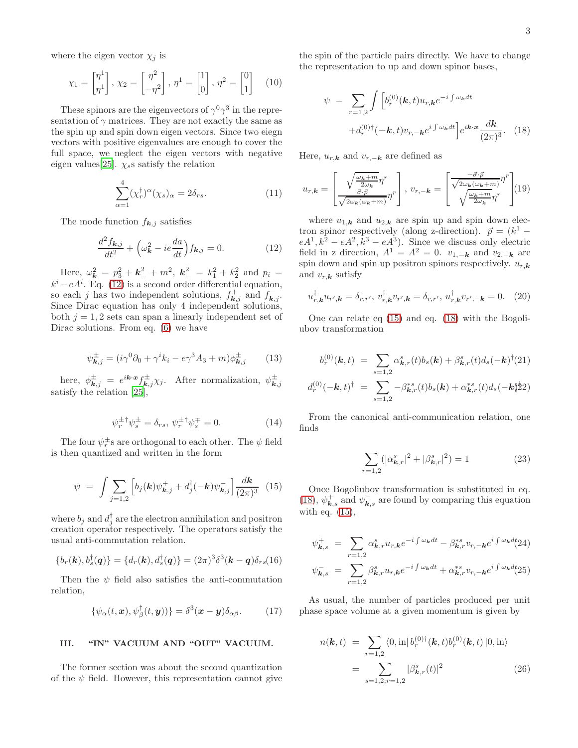where the eigen vector  $\chi_j$  is

$$
\chi_1 = \begin{bmatrix} \eta^1 \\ \eta^1 \end{bmatrix}, \chi_2 = \begin{bmatrix} \eta^2 \\ -\eta^2 \end{bmatrix}, \eta^1 = \begin{bmatrix} 1 \\ 0 \end{bmatrix}, \eta^2 = \begin{bmatrix} 0 \\ 1 \end{bmatrix} \tag{10}
$$

These spinors are the eigenvectors of  $\gamma^0 \gamma^3$  in the representation of  $\gamma$  matrices. They are not exactly the same as the spin up and spin down eigen vectors. Since two eiegn vectors with positive eigenvalues are enough to cover the full space, we neglect the eigen vectors with negative eigen values [\[25\]](#page-5-22).  $\chi_s$ s satisfy the relation

$$
\sum_{\alpha=1}^{4} (\chi_r^{\dagger})^{\alpha} (\chi_s)_{\alpha} = 2\delta_{rs}.
$$
 (11)

The mode function  $f_{\mathbf{k},j}$  satisfies

<span id="page-2-0"></span>
$$
\frac{d^2 f_{\mathbf{k},j}}{dt^2} + \left(\omega_\mathbf{k}^2 - ie\frac{da}{dt}\right) f_{\mathbf{k},j} = 0.
$$
 (12)

Here,  $\omega_{\mathbf{k}}^2 = p_3^2 + \mathbf{k}_-^2 + m^2$ ,  $\mathbf{k}_-^2 = k_1^2 + k_2^2$  and  $p_i =$  $k^{i} - eA^{i}$ . Eq. [\(12\)](#page-2-0) is a second order differential equation, so each j has two independent solutions,  $f_{\mathbf{k},j}^+$  and  $f_{\mathbf{k},j}^-$ . Since Dirac equation has only 4 independent solutions, both  $j = 1, 2$  sets can span a linearly independent set of Dirac solutions. From eq. [\(6\)](#page-1-2) we have

<span id="page-2-4"></span>
$$
\psi_{\mathbf{k},j}^{\pm} = (i\gamma^0 \partial_0 + \gamma^i k_i - e\gamma^3 A_3 + m)\phi_{\mathbf{k},j}^{\pm} \tag{13}
$$

here,  $\phi_{\bm{k},j}^{\pm} = e^{i\bm{k}\cdot\bm{x}} f_{\bm{k},j}^{\pm} \chi_j$ . After normalization,  $\psi_{\bm{k},j}^{\pm}$ satisfy the relation [\[25\]](#page-5-22),

$$
\psi_r^{\pm \dagger} \psi_s^{\pm} = \delta_{rs}, \, \psi_r^{\pm \dagger} \psi_s^{\mp} = 0. \tag{14}
$$

The four  $\psi_r^{\pm}$ s are orthogonal to each other. The  $\psi$  field is then quantized and written in the form

<span id="page-2-1"></span>
$$
\psi = \int \sum_{j=1,2} \left[ b_j(\mathbf{k}) \psi_{\mathbf{k},j}^+ + d_j^{\dagger}(-\mathbf{k}) \psi_{\mathbf{k},j}^- \right] \frac{d\mathbf{k}}{(2\pi)^3} \tag{15}
$$

where  $b_j$  and  $d_j^{\dagger}$  are the electron annihilation and positron creation operator respectively. The operators satisfy the usual anti-commutation relation.

$$
\{b_r(\mathbf{k}), b_s^{\dagger}(\mathbf{q})\} = \{d_r(\mathbf{k}), d_s^{\dagger}(\mathbf{q})\} = (2\pi)^3 \delta^3(\mathbf{k} - \mathbf{q}) \delta_{rs} (16)
$$

Then the  $\psi$  field also satisfies the anti-commutation relation,

$$
\{\psi_{\alpha}(t,\mathbf{x}),\psi_{\beta}^{\dagger}(t,\mathbf{y}))\}=\delta^{3}(\mathbf{x}-\mathbf{y})\delta_{\alpha\beta}.
$$
 (17)

#### III. "IN" VACUUM AND "OUT" VACUUM.

The former section was about the second quantization of the  $\psi$  field. However, this representation cannot give the spin of the particle pairs directly. We have to change the representation to up and down spinor bases,

<span id="page-2-2"></span>
$$
\psi = \sum_{r=1,2} \int \left[ b_r^{(0)}(\mathbf{k}, t) u_{r, \mathbf{k}} e^{-i \int \omega_{\mathbf{k}} dt} + d_r^{(0) \dagger} (-\mathbf{k}, t) v_{r, -\mathbf{k}} e^{i \int \omega_{\mathbf{k}} dt} \right] e^{i \mathbf{k} \cdot \mathbf{x}} \frac{d \mathbf{k}}{(2\pi)^3}.
$$
 (18)

Here,  $u_{r,k}$  and  $v_{r,-k}$  are defined as

<span id="page-2-5"></span>
$$
u_{r,\mathbf{k}} = \left[\frac{\sqrt{\frac{\omega_{\mathbf{k}} + m}{2\omega_{\mathbf{k}}}} \eta^r}{\sqrt{2\omega_{\mathbf{k}}(\omega_{\mathbf{k}} + m)}} \eta^r\right], v_{r,-\mathbf{k}} = \left[\frac{-\vec{\sigma} \cdot \vec{p}}{\sqrt{2\omega_{\mathbf{k}}(\omega_{\mathbf{k}} + m)}} \eta^r\right] (19)
$$

where  $u_{1,k}$  and  $u_{2,k}$  are spin up and spin down electron spinor respectively (along z-direction).  $\vec{p} = (k^1 - 1)$  $eA^1, k^2 - eA^2, k^3 - eA^3$ ). Since we discuss only electric field in z direction,  $A^1 = A^2 = 0$ .  $v_{1,-k}$  and  $v_{2,-k}$  are spin down and spin up positron spinors respectively.  $u_{r,k}$ and  $v_{r,k}$  satisfy

$$
u_{r,\mathbf{k}}^{\dagger} u_{r',\mathbf{k}} = \delta_{r,r'}, \, v_{r,\mathbf{k}}^{\dagger} v_{r',\mathbf{k}} = \delta_{r,r'}, \, u_{r,\mathbf{k}}^{\dagger} v_{r',-\mathbf{k}} = 0. \tag{20}
$$

One can relate eq [\(15\)](#page-2-1) and eq. [\(18\)](#page-2-2) with the Bogoliubov transformation

$$
b_r^{(0)}(\mathbf{k}, t) = \sum_{s=1,2} \alpha_{\mathbf{k},r}^s(t) b_s(\mathbf{k}) + \beta_{\mathbf{k},r}^s(t) d_s(-\mathbf{k})^{\dagger}(21)
$$

$$
d_r^{(0)}(-\mathbf{k}, t)^{\dagger} = \sum_{s=1,2} -\beta_{\mathbf{k},r}^{*s}(t) b_s(\mathbf{k}) + \alpha_{\mathbf{k},r}^{*s}(t) d_s(-\mathbf{k})^{\dagger}(2)
$$

From the canonical anti-communication relation, one finds

$$
\sum_{r=1,2} (|\alpha_{\mathbf{k},r}^s|^2 + |\beta_{\mathbf{k},r}^s|^2) = 1
$$
 (23)

Once Bogoliubov transformation is substituted in eq. [\(18\)](#page-2-2),  $\psi_{\mathbf{k},s}^{+}$  and  $\psi_{\mathbf{k},s}^{-}$  are found by comparing this equation with eq.  $(15)$ ,

<span id="page-2-3"></span>
$$
\psi_{\mathbf{k},s}^{+} = \sum_{r=1,2} \alpha_{\mathbf{k},r}^{s} u_{r,\mathbf{k}} e^{-i \int \omega_{\mathbf{k}} dt} - \beta_{\mathbf{k},r}^{*s} v_{r,-\mathbf{k}} e^{i \int \omega_{\mathbf{k}} dt} (24)
$$

$$
\psi_{\mathbf{k},s}^{-} = \sum_{r=1,2} \beta_{\mathbf{k},r}^{s} u_{r,\mathbf{k}} e^{-i \int \omega_{\mathbf{k}} dt} + \alpha_{\mathbf{k},r}^{*s} v_{r,-\mathbf{k}} e^{i \int \omega_{\mathbf{k}} dt} (25)
$$

As usual, the number of particles produced per unit phase space volume at a given momentum is given by

<span id="page-2-6"></span>
$$
n(\mathbf{k}, t) = \sum_{r=1,2} \langle 0, \text{in} | b_r^{(0)\dagger}(\mathbf{k}, t) b_r^{(0)}(\mathbf{k}, t) | 0, \text{in} \rangle
$$
  
= 
$$
\sum_{s=1,2; r=1,2} |\beta_{\mathbf{k},r}^s(t)|^2
$$
(26)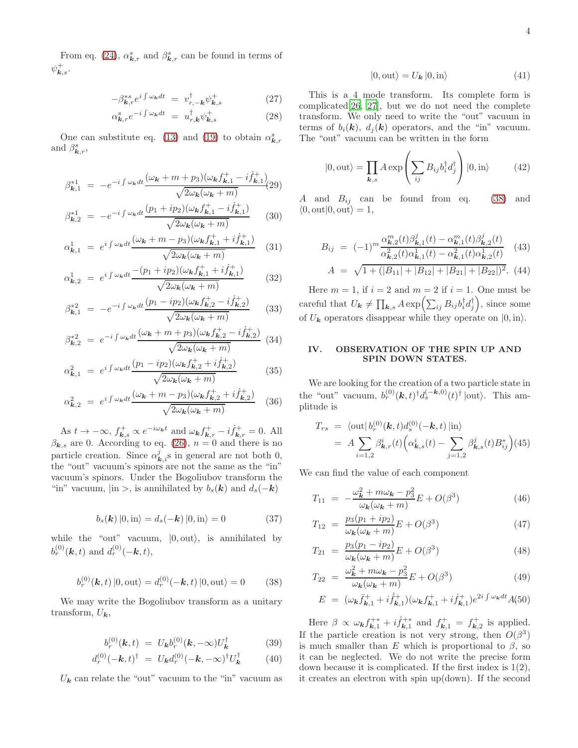From eq. [\(24\)](#page-2-3),  $\alpha_{\mathbf{k},r}^{s}$  and  $\beta_{\mathbf{k},r}^{s}$  can be found in terms of  $\psi_{\boldsymbol{k},s}^+$ .

$$
-\beta_{\mathbf{k},r}^{*s}e^{i\int\omega_{\mathbf{k}}dt} = v_{r,-\mathbf{k}}^{\dagger}\psi_{\mathbf{k},s}^{+} \tag{27}
$$

$$
\alpha_{\mathbf{k},r}^s e^{-i \int \omega_{\mathbf{k}} dt} = u_{r,\mathbf{k}}^\dagger \psi_{\mathbf{k},s}^\dagger \tag{28}
$$

One can substitute eq. [\(13\)](#page-2-4) and [\(19\)](#page-2-5) to obtain  $\alpha_{\mathbf{k},r}^{s}$ and  $\beta^s_{\boldsymbol{k},r}$ ,

$$
\beta_{\mathbf{k},1}^{*1} = -e^{-i \int \omega_{\mathbf{k}} dt} \frac{(\omega_{\mathbf{k}} + m + p_3)(\omega_{\mathbf{k}} f_{\mathbf{k},1}^+ - i \dot{f}_{\mathbf{k},1}^+)}{\sqrt{2 \omega_{\mathbf{k}} (\omega_{\mathbf{k}} + m)}} (29)
$$

$$
\beta_{\mathbf{k},2}^{*1} = -e^{-i\int \omega_{\mathbf{k}}dt} \frac{(p_1 + ip_2)(\omega_{\mathbf{k}}f_{\mathbf{k},1}^+ - if_{\mathbf{k},1}^+)}{\sqrt{2\omega_{\mathbf{k}}(\omega_{\mathbf{k}} + m)}} \qquad (30)
$$

$$
\alpha_{\mathbf{k},1}^1 \ = \ e^{i \int \omega_{\mathbf{k}} dt} \frac{(\omega_{\mathbf{k}} + m - p_3)(\omega_{\mathbf{k}} f_{\mathbf{k},1}^+ + i \dot{f}_{\mathbf{k},1}^+) }{\sqrt{2\omega_{\mathbf{k}}(\omega_{\mathbf{k}} + m)}} \tag{31}
$$

$$
\alpha_{\mathbf{k},2}^1 = e^{i \int \omega_{\mathbf{k}} dt} \frac{-(p_1 + ip_2)(\omega_{\mathbf{k}} f_{\mathbf{k},1}^+ + i \dot{f}_{\mathbf{k},1}^+) }{\sqrt{2\omega_{\mathbf{k}}(\omega_{\mathbf{k}} + m)}} \tag{32}
$$

$$
\beta_{\mathbf{k},1}^{*2} = -e^{-i \int \omega_{\mathbf{k}} dt} \frac{(p_1 - ip_2)(\omega_{\mathbf{k}} f_{\mathbf{k},2}^+ - i \dot{f}_{\mathbf{k},2}^+) }{\sqrt{2\omega_{\mathbf{k}}(\omega_{\mathbf{k}} + m)}} \tag{33}
$$

$$
\beta_{\mathbf{k},2}^{*2} = e^{-i \int \omega_{\mathbf{k}} dt} \frac{(\omega_{\mathbf{k}} + m + p_3)(\omega_{\mathbf{k}} f_{\mathbf{k},2}^+ - i \dot{f}_{\mathbf{k},2}^+) }{\sqrt{2 \omega_{\mathbf{k}} (\omega_{\mathbf{k}} + m)}} \tag{34}
$$

$$
\alpha_{\mathbf{k},1}^2 = e^{i \int \omega_{\mathbf{k}} dt} \frac{(p_1 - ip_2)(\omega_{\mathbf{k}} f_{\mathbf{k},2}^+ + i \dot{f}_{\mathbf{k},2}^+) }{\sqrt{2 \omega_{\mathbf{k}} (\omega_{\mathbf{k}} + m)}} \tag{35}
$$

$$
\alpha_{\mathbf{k},2}^2 = e^{i \int \omega_{\mathbf{k}} dt} \frac{(\omega_{\mathbf{k}} + m - p_3)(\omega_{\mathbf{k}} f_{\mathbf{k},2}^+ + i \dot{f}_{\mathbf{k},2}^+) }{\sqrt{2 \omega_{\mathbf{k}} (\omega_{\mathbf{k}} + m)}} \quad (36)
$$

As  $t \to -\infty$ ,  $f_{\mathbf{k},s}^+ \propto e^{-i\omega_{\mathbf{k}}t}$  and  $\omega_{\mathbf{k}} f_{\mathbf{k},r}^+ - i\dot{f}_{\mathbf{k},r}^+ = 0$ . All  $\beta_{k,s}$  are 0. According to eq. [\(26\)](#page-2-6),  $n=0$  and there is no particle creation. Since  $\alpha_{\mathbf{k},i}^j$ s in general are not both 0, the "out" vacuum's spinors are not the same as the "in" vacuum's spinors. Under the Bogoliubov transform the "in" vacuum,  $\vert \text{in} \rangle$ , is annihilated by  $b_s(\mathbf{k})$  and  $d_s(-\mathbf{k})$ 

$$
b_s(\mathbf{k}) |0, \text{in}\rangle = d_s(-\mathbf{k}) |0, \text{in}\rangle = 0 \tag{37}
$$

while the "out" vacuum,  $|0, \text{out}\rangle$ , is annihilated by  $b_r^{(0)}(\mathbf{k}, t)$  and  $d_r^{(0)}(-\mathbf{k}, t)$ ,

<span id="page-3-0"></span>
$$
b_r^{(0)}(\mathbf{k}, t) |0, \text{out}\rangle = d_r^{(0)}(-\mathbf{k}, t) |0, \text{out}\rangle = 0 \quad (38)
$$

We may write the Bogoliubov transform as a unitary transform,  $U_{\boldsymbol{k}},$ 

$$
b_r^{(0)}(\mathbf{k},t) = U_{\mathbf{k}} b_r^{(0)}(\mathbf{k},-\infty) U_{\mathbf{k}}^\dagger \tag{39}
$$

$$
d_r^{(0)}(-\mathbf{k},t)^\dagger = U_\mathbf{k} d_r^{(0)}(-\mathbf{k},-\infty)^\dagger U_\mathbf{k}^\dagger \tag{40}
$$

 $U_k$  can relate the "out" vacuum to the "in" vacuum as

$$
|0, \text{out}\rangle = U_{\mathbf{k}} |0, \text{in}\rangle \tag{41}
$$

This is a 4 mode transform. Its complete form is complicated[\[26,](#page-5-23) [27](#page-5-24)], but we do not need the complete transform. We only need to write the "out" vacuum in terms of  $b_i(\mathbf{k})$ ,  $d_j(\mathbf{k})$  operators, and the "in" vacuum. The "out" vacuum can be written in the form

$$
|0, \text{out}\rangle = \prod_{k,s} A \exp\left(\sum_{ij} B_{ij} b_i^{\dagger} d_j^{\dagger}\right) |0, \text{in}\rangle \tag{42}
$$

A and  $B_{ij}$  can be found from eq. [\(38\)](#page-3-0) and  $\langle 0, \text{out} | 0, \text{out} \rangle = 1,$ 

$$
B_{ij} = (-1)^m \frac{\alpha_{k,2}^m(t)\beta_{k,1}^j(t) - \alpha_{k,1}^m(t)\beta_{k,2}^j(t)}{\alpha_{k,2}^2(t)\alpha_{k,1}^1(t) - \alpha_{k,1}^2(t)\alpha_{k,2}^1(t)}
$$
(43)  

$$
A = \sqrt{1 + (|B_{11}| + |B_{12}| + |B_{21}| + |B_{22}|)^2}.
$$
(44)

Here  $m = 1$ , if  $i = 2$  and  $m = 2$  if  $i = 1$ . One must be careful that  $U_{\mathbf{k}} \neq \prod_{\mathbf{k},s} A \exp\left(\sum_{ij} B_{ij} b_i^{\dagger} d_j^{\dagger}\right)$ , since some of  $U_k$  operators disappear while they operate on  $(0, \text{in}).$ 

#### IV. OBSERVATION OF THE SPIN UP AND SPIN DOWN STATES.

We are looking for the creation of a two particle state in the "out" vacuum,  $b_r^{(0)}(\mathbf{k},t)^\dagger d_s^{(-\mathbf{k},0)}(t)^\dagger$  out). This amplitude is

$$
T_{rs} = \langle \text{out} | b_r^{(0)}(\mathbf{k}, t) d_s^{(0)}(-\mathbf{k}, t) | \text{in} \rangle
$$
  
=  $A \sum_{i=1,2} \beta_{\mathbf{k},r}^i(t) \Big( \alpha_{\mathbf{k},s}^i(t) - \sum_{j=1,2} \beta_{\mathbf{k},s}^j(t) B_{ij}^* \Big) (45)$ 

We can find the value of each component

$$
T_{11} = -\frac{\omega_k^2 + m\omega_k - p_3^2}{\omega_k(\omega_k + m)}E + O(\beta^3)
$$
 (46)

$$
T_{12} = \frac{p_3(p_1 + ip_2)}{\omega_k(\omega_k + m)} E + O(\beta^3)
$$
 (47)

$$
T_{21} = \frac{p_3(p_1 - ip_2)}{\omega_k(\omega_k + m)} E + O(\beta^3)
$$
\n(48)

$$
T_{22} = \frac{\omega_k^2 + m\omega_k - p_3^2}{\omega_k(\omega_k + m)} E + O(\beta^3)
$$
\n(49)

$$
E = (\omega_{\mathbf{k}} \bar{f}_{\mathbf{k},1}^+ + i \dot{f}_{\mathbf{k},1}^+) (\omega_{\mathbf{k}} f_{\mathbf{k},1}^+ + i \dot{f}_{\mathbf{k},1}^+) e^{2i \int \omega_{\mathbf{k}} dt} A(50)
$$

Here  $\beta \propto \omega_{k} f_{k,1}^{+*} + i \dot{f}_{k,1}^{+*}$  and  $f_{k,1}^{+} = f_{k,2}^{+}$  is applied. If the particle creation is not very strong, then  $O(\beta^3)$ is much smaller than E which is proportional to  $\beta$ , so it can be neglected. We do not write the precise form down because it is complicated. If the first index is 1(2), it creates an electron with spin up(down). If the second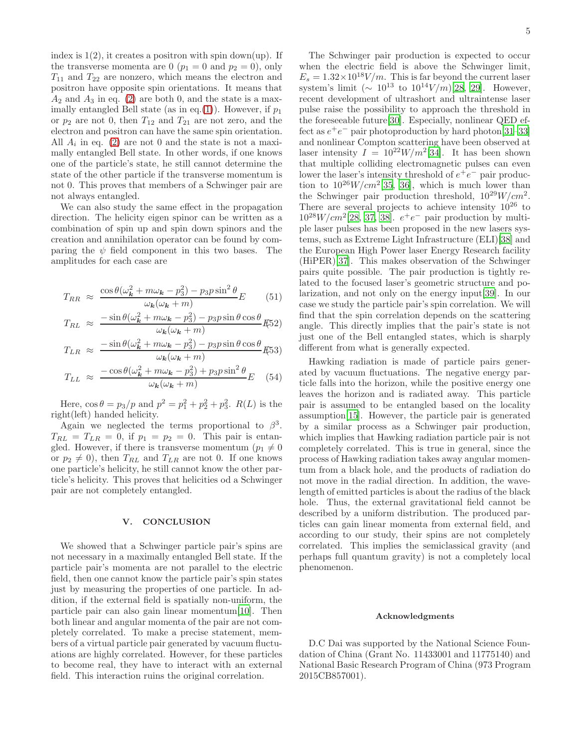index is  $1(2)$ , it creates a positron with spin down(up). If the transverse momenta are 0 ( $p_1 = 0$  and  $p_2 = 0$ ), only  $T_{11}$  and  $T_{22}$  are nonzero, which means the electron and positron have opposite spin orientations. It means that  $A_2$  and  $A_3$  in eq. [\(2\)](#page-1-3) are both 0, and the state is a max-imally entangled Bell state (as in eq.[\(1\)](#page-0-0)). However, if  $p_1$ or  $p_2$  are not 0, then  $T_{12}$  and  $T_{21}$  are not zero, and the electron and positron can have the same spin orientation. All  $A_i$  in eq. [\(2\)](#page-1-3) are not 0 and the state is not a maximally entangled Bell state. In other words, if one knows one of the particle's state, he still cannot determine the state of the other particle if the transverse momentum is not 0. This proves that members of a Schwinger pair are not always entangled.

We can also study the same effect in the propagation direction. The helicity eigen spinor can be written as a combination of spin up and spin down spinors and the creation and annihilation operator can be found by comparing the  $\psi$  field component in this two bases. The amplitudes for each case are

$$
T_{RR} \approx \frac{\cos\theta(\omega_{\mathbf{k}}^2 + m\omega_{\mathbf{k}} - p_3^2) - p_3 p \sin^2\theta}{\omega_{\mathbf{k}}(\omega_{\mathbf{k}} + m)} E \qquad (51)
$$

$$
T_{RL} \approx \frac{-\sin\theta(\omega_{\mathbf{k}}^2 + m\omega_{\mathbf{k}} - p_3^2) - p_3 p \sin\theta \cos\theta}{\omega_{\mathbf{k}}(\omega_{\mathbf{k}} + m)} R_5 2)
$$

$$
T_{LR} \approx \frac{-\sin\theta(\omega_{\mathbf{k}}^2 + m\omega_{\mathbf{k}} - p_3^2) - p_3 p \sin\theta \cos\theta}{\omega_{\mathbf{k}}(\omega_{\mathbf{k}} + m)} \text{E53}
$$

$$
T_{LL} \approx \frac{-\cos\theta(\omega_{\mathbf{k}}^2 + m\omega_{\mathbf{k}} - p_3^2) + p_3 p \sin^2\theta}{\omega_{\mathbf{k}}(\omega_{\mathbf{k}} + m)} E \quad (54)
$$

Here,  $\cos \theta = p_3/p$  and  $p^2 = p_1^2 + p_2^2 + p_3^2$ .  $R(L)$  is the right(left) handed helicity.

Again we neglected the terms proportional to  $\beta^3$ .  $T_{RL} = T_{LR} = 0$ , if  $p_1 = p_2 = 0$ . This pair is entangled. However, if there is transverse momentum ( $p_1 \neq 0$ or  $p_2 \neq 0$ , then  $T_{RL}$  and  $T_{LR}$  are not 0. If one knows one particle's helicity, he still cannot know the other particle's helicity. This proves that helicities od a Schwinger pair are not completely entangled.

#### V. CONCLUSION

We showed that a Schwinger particle pair's spins are not necessary in a maximally entangled Bell state. If the particle pair's momenta are not parallel to the electric field, then one cannot know the particle pair's spin states just by measuring the properties of one particle. In addition, if the external field is spatially non-uniform, the particle pair can also gain linear momentum[\[10](#page-5-9)]. Then both linear and angular momenta of the pair are not completely correlated. To make a precise statement, members of a virtual particle pair generated by vacuum fluctuations are highly correlated. However, for these particles to become real, they have to interact with an external field. This interaction ruins the original correlation.

The Schwinger pair production is expected to occur when the electric field is above the Schwinger limit,  $E_s = 1.32 \times 10^{18} V/m$ . This is far beyond the current laser system's limit ( $\sim 10^{13}$  to  $10^{14} V/m$ )[\[28,](#page-5-25) [29\]](#page-5-26). However, recent development of ultrashort and ultraintense laser pulse raise the possibility to approach the threshold in the foreseeable future[\[30](#page-5-27)]. Especially, nonlinear QED effect as  $e^+e^-$  pair photoproduction by hard photon[\[31](#page-5-28)[–33\]](#page-5-29) and nonlinear Compton scattering have been observed at laser intensity  $I = 10^{22} W/m^2[34]$  $I = 10^{22} W/m^2[34]$  $I = 10^{22} W/m^2[34]$ . It has been shown that multiple colliding electromagnetic pulses can even lower the laser's intensity threshold of  $e^+e^-$  pair production to  $10^{26} W/cm^2[35, 36]$  $10^{26} W/cm^2[35, 36]$  $10^{26} W/cm^2[35, 36]$  $10^{26} W/cm^2[35, 36]$ , which is much lower than the Schwinger pair production threshold,  $10^{29}W/cm^2$ . There are several projects to achieve intensity  $10^{26}$  to  $10^{28}W/cm^{2}[28, 37, 38]$  $10^{28}W/cm^{2}[28, 37, 38]$  $10^{28}W/cm^{2}[28, 37, 38]$  $10^{28}W/cm^{2}[28, 37, 38]$  $10^{28}W/cm^{2}[28, 37, 38]$  $10^{28}W/cm^{2}[28, 37, 38]$ .  $e^{+}e^{-}$  pair production by multiple laser pulses has been proposed in the new lasers systems, such as Extreme Light Infrastructure (ELI)[\[38\]](#page-5-34) and the European High Power laser Energy Research facility (HiPER)[\[37\]](#page-5-33). This makes observation of the Schwinger pairs quite possible. The pair production is tightly related to the focused laser's geometric structure and polarization, and not only on the energy input[\[39](#page-5-35)]. In our case we study the particle pair's spin correlation. We will find that the spin correlation depends on the scattering angle. This directly implies that the pair's state is not just one of the Bell entangled states, which is sharply different from what is generally expected.

Hawking radiation is made of particle pairs generated by vacuum fluctuations. The negative energy particle falls into the horizon, while the positive energy one leaves the horizon and is radiated away. This particle pair is assumed to be entangled based on the locality assumption[\[15](#page-5-13)]. However, the particle pair is generated by a similar process as a Schwinger pair production, which implies that Hawking radiation particle pair is not completely correlated. This is true in general, since the process of Hawking radiation takes away angular momentum from a black hole, and the products of radiation do not move in the radial direction. In addition, the wavelength of emitted particles is about the radius of the black hole. Thus, the external gravitational field cannot be described by a uniform distribution. The produced particles can gain linear momenta from external field, and according to our study, their spins are not completely correlated. This implies the semiclassical gravity (and perhaps full quantum gravity) is not a completely local phenomenon.

#### Acknowledgments

D.C Dai was supported by the National Science Foundation of China (Grant No. 11433001 and 11775140) and National Basic Research Program of China (973 Program 2015CB857001).